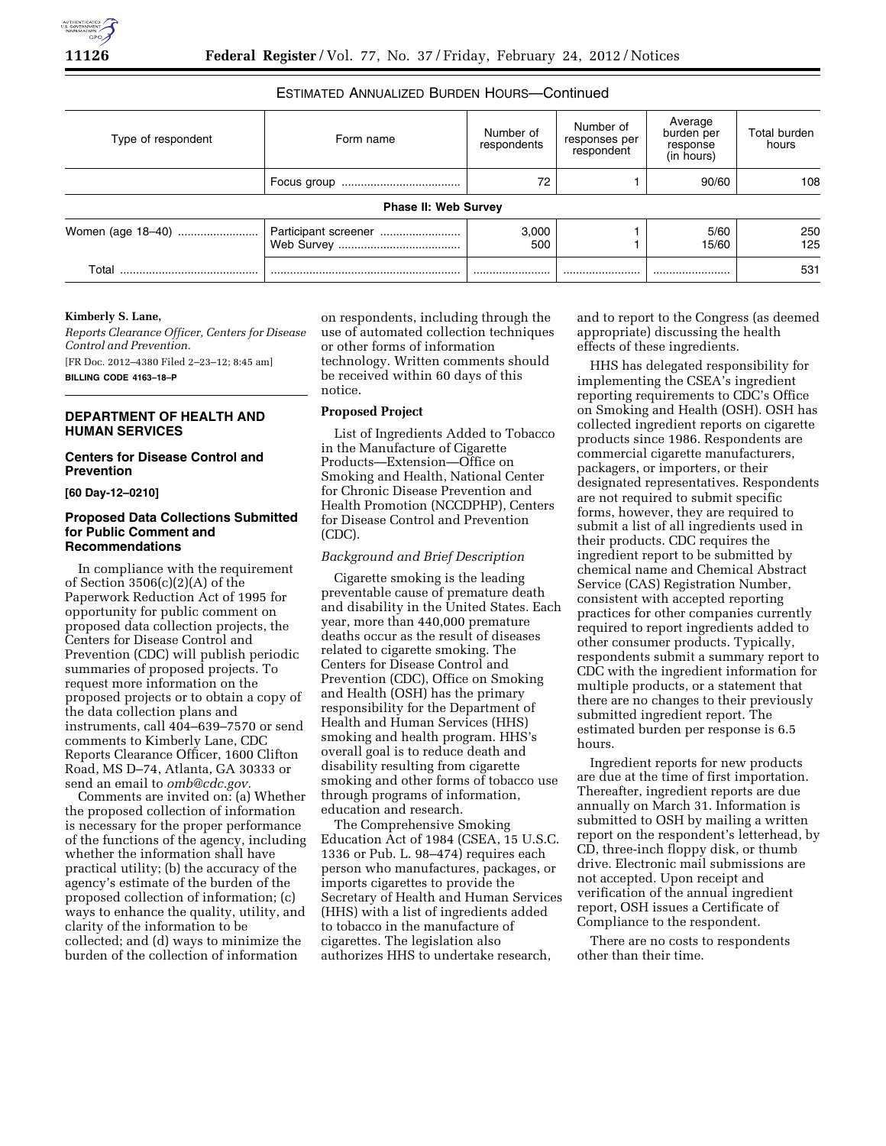# ESTIMATED ANNUALIZED BURDEN HOURS—Continued

| Type of respondent | Form name                   | Number of<br>respondents | Number of<br>responses per<br>respondent | Average<br>burden per<br>response<br>(in hours) | Total burden<br>hours |
|--------------------|-----------------------------|--------------------------|------------------------------------------|-------------------------------------------------|-----------------------|
|                    |                             | 72                       |                                          | 90/60                                           | 108                   |
|                    | <b>Phase II: Web Survey</b> |                          |                                          |                                                 |                       |
|                    | Participant screener        | 3,000<br>500             |                                          | 5/60<br>15/60                                   | 250<br>125            |
| T∩tal              |                             |                          |                                          |                                                 | 531                   |

#### **Kimberly S. Lane,**

*Reports Clearance Officer, Centers for Disease Control and Prevention.*  [FR Doc. 2012–4380 Filed 2–23–12; 8:45 am]

**BILLING CODE 4163–18–P** 

# **DEPARTMENT OF HEALTH AND HUMAN SERVICES**

### **Centers for Disease Control and Prevention**

**[60 Day-12–0210]** 

### **Proposed Data Collections Submitted for Public Comment and Recommendations**

In compliance with the requirement of Section 3506(c)(2)(A) of the Paperwork Reduction Act of 1995 for opportunity for public comment on proposed data collection projects, the Centers for Disease Control and Prevention (CDC) will publish periodic summaries of proposed projects. To request more information on the proposed projects or to obtain a copy of the data collection plans and instruments, call 404–639–7570 or send comments to Kimberly Lane, CDC Reports Clearance Officer, 1600 Clifton Road, MS D–74, Atlanta, GA 30333 or send an email to *[omb@cdc.gov.](mailto:omb@cdc.gov)* 

Comments are invited on: (a) Whether the proposed collection of information is necessary for the proper performance of the functions of the agency, including whether the information shall have practical utility; (b) the accuracy of the agency's estimate of the burden of the proposed collection of information; (c) ways to enhance the quality, utility, and clarity of the information to be collected; and (d) ways to minimize the burden of the collection of information

on respondents, including through the use of automated collection techniques or other forms of information technology. Written comments should be received within 60 days of this notice.

# **Proposed Project**

List of Ingredients Added to Tobacco in the Manufacture of Cigarette Products—Extension—Office on Smoking and Health, National Center for Chronic Disease Prevention and Health Promotion (NCCDPHP), Centers for Disease Control and Prevention (CDC).

#### *Background and Brief Description*

Cigarette smoking is the leading preventable cause of premature death and disability in the United States. Each year, more than 440,000 premature deaths occur as the result of diseases related to cigarette smoking. The Centers for Disease Control and Prevention (CDC), Office on Smoking and Health (OSH) has the primary responsibility for the Department of Health and Human Services (HHS) smoking and health program. HHS's overall goal is to reduce death and disability resulting from cigarette smoking and other forms of tobacco use through programs of information, education and research.

The Comprehensive Smoking Education Act of 1984 (CSEA, 15 U.S.C. 1336 or Pub. L. 98–474) requires each person who manufactures, packages, or imports cigarettes to provide the Secretary of Health and Human Services (HHS) with a list of ingredients added to tobacco in the manufacture of cigarettes. The legislation also authorizes HHS to undertake research,

and to report to the Congress (as deemed appropriate) discussing the health effects of these ingredients.

HHS has delegated responsibility for implementing the CSEA's ingredient reporting requirements to CDC's Office on Smoking and Health (OSH). OSH has collected ingredient reports on cigarette products since 1986. Respondents are commercial cigarette manufacturers, packagers, or importers, or their designated representatives. Respondents are not required to submit specific forms, however, they are required to submit a list of all ingredients used in their products. CDC requires the ingredient report to be submitted by chemical name and Chemical Abstract Service (CAS) Registration Number, consistent with accepted reporting practices for other companies currently required to report ingredients added to other consumer products. Typically, respondents submit a summary report to CDC with the ingredient information for multiple products, or a statement that there are no changes to their previously submitted ingredient report. The estimated burden per response is 6.5 hours.

Ingredient reports for new products are due at the time of first importation. Thereafter, ingredient reports are due annually on March 31. Information is submitted to OSH by mailing a written report on the respondent's letterhead, by CD, three-inch floppy disk, or thumb drive. Electronic mail submissions are not accepted. Upon receipt and verification of the annual ingredient report, OSH issues a Certificate of Compliance to the respondent.

There are no costs to respondents other than their time.